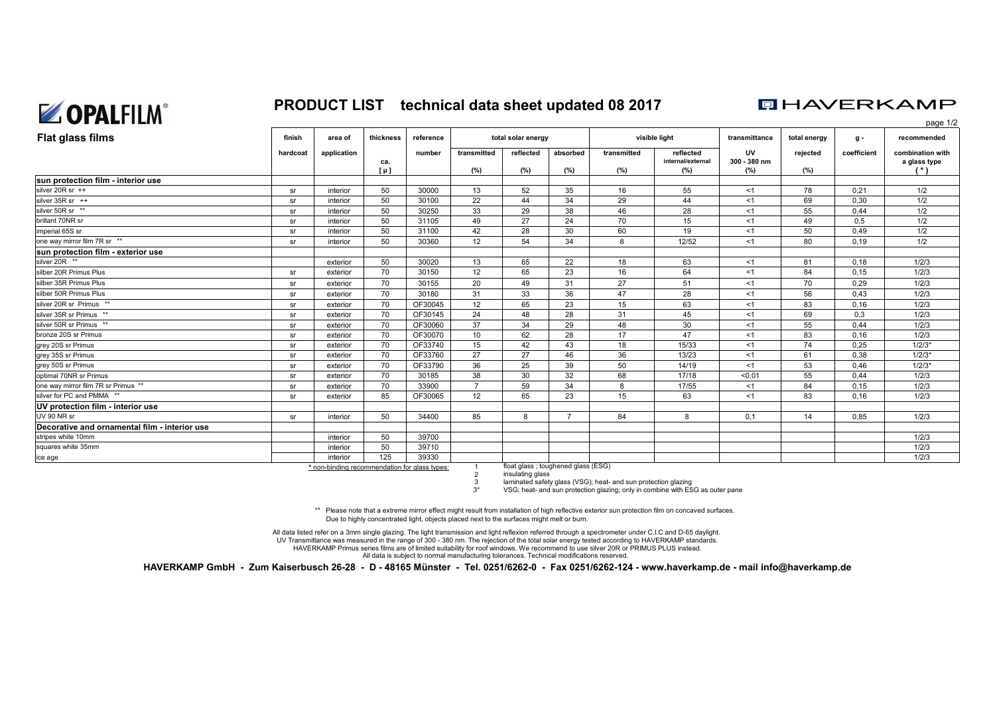

### **PRODUCT LIST technical data sheet updated 08 2017**

## **DHAVERKAMP**

page 1/2

| Flat glass films                              | finish   | area of     | thickness | reference |             | visible light<br>total solar energy |                |             |                                | transmittance             | total energy | g -         | recommended                      |
|-----------------------------------------------|----------|-------------|-----------|-----------|-------------|-------------------------------------|----------------|-------------|--------------------------------|---------------------------|--------------|-------------|----------------------------------|
|                                               | hardcoat | application | ca.       | number    | transmitted | reflected                           | absorbed       | transmitted | reflected<br>internal/external | <b>UV</b><br>300 - 380 nm | rejected     | coefficient | combination with<br>a glass type |
|                                               |          |             | $[\mu]$   |           | (%)         | (%)                                 | (%)            | (%)         | (%)                            | (%)                       | (%)          |             |                                  |
| sun protection film - interior use            |          |             |           |           |             |                                     |                |             |                                |                           |              |             |                                  |
| silver 20R sr $++$                            | sr       | interior    | 50        | 30000     | 13          | 52                                  | 35             | 16          | 55                             | < 1                       | 78           | 0.21        | 1/2                              |
| silver 35R sr ++                              | sr       | interior    | 50        | 30100     | 22          | 44                                  | 34             | 29          | 44                             | <1                        | 69           | 0,30        | 1/2                              |
| silver 50R sr **                              | sr       | interior    | 50        | 30250     | 33          | 29                                  | 38             | 46          | 28                             | <1                        | 55           | 0,44        | 1/2                              |
| brillant 70NR sr                              | sr       | interior    | 50        | 31105     | 49          | 27                                  | 24             | 70          | 15                             | <1                        | 49           | 0,5         | 1/2                              |
| imperial 65S sr                               | sr       | interior    | 50        | 31100     | 42          | 28                                  | 30             | 60          | 19                             | < 1                       | 50           | 0.49        | 1/2                              |
| one way mirror film 7R sr **                  | sr       | interior    | 50        | 30360     | 12          | 54                                  | 34             | 8           | 12/52                          | <1                        | 80           | 0,19        | 1/2                              |
| sun protection film - exterior use            |          |             |           |           |             |                                     |                |             |                                |                           |              |             |                                  |
| silver 20R **                                 |          | exterior    | 50        | 30020     | 13          | 65                                  | 22             | 18          | 63                             | < 1                       | 81           | 0,18        | 1/2/3                            |
| silber 20R Primus Plus                        | sr       | exterior    | 70        | 30150     | 12          | 65                                  | 23             | 16          | 64                             | < 1                       | 84           | 0,15        | 1/2/3                            |
| silber 35R Primus Plus                        | sr       | exterior    | 70        | 30155     | 20          | 49                                  | 31             | 27          | 51                             | <1                        | 70           | 0,29        | 1/2/3                            |
| silber 50R Primus Plus                        | sr       | exterior    | 70        | 30180     | 31          | 33                                  | 36             | 47          | 28                             | $<$ 1                     | 56           | 0,43        | 1/2/3                            |
| silver 20R sr Primus **                       | sr       | exterior    | 70        | OF30045   | 12          | 65                                  | 23             | 15          | 63                             | <1                        | 83           | 0,16        | 1/2/3                            |
| silver 35R sr Primus **                       | sr       | exterior    | 70        | OF30145   | 24          | 48                                  | 28             | 31          | 45                             | <1                        | 69           | 0,3         | 1/2/3                            |
| silver 50R sr Primus **                       | sr       | exterior    | 70        | OF30060   | 37          | 34                                  | 29             | 48          | 30                             | <1                        | 55           | 0,44        | 1/2/3                            |
| bronze 20S sr Primus                          | sr       | exterior    | 70        | OF30070   | 10          | 62                                  | 28             | 17          | 47                             | < 1                       | 83           | 0.16        | 1/2/3                            |
| grey 20S sr Primus                            | sr       | exterior    | 70        | OF33740   | 15          | 42                                  | 43             | 18          | 15/33                          | < 1                       | 74           | 0,25        | $1/2/3*$                         |
| grey 35S sr Primus                            | sr       | exterior    | 70        | OF33760   | 27          | 27                                  | 46             | 36          | 13/23                          | <1                        | 61           | 0,38        | $1/2/3*$                         |
| grey 50S sr Primus                            | sr       | exterior    | 70        | OF33790   | 36          | 25                                  | 39             | 50          | 14/19                          | <1                        | 53           | 0,46        | $1/2/3*$                         |
| optimal 70NR sr Primus                        | sr       | exterior    | 70        | 30185     | 38          | 30                                  | 32             | 68          | 17/18                          | < 0.01                    | 55           | 0.44        | 1/2/3                            |
| one way mirror film 7R sr Primus **           | sr       | exterior    | 70        | 33900     |             | 59                                  | 34             | 8           | 17/55                          | $<$ 1                     | 84           | 0.15        | 1/2/3                            |
| silver for PC and PMMA **                     | sr       | exterior    | 85        | OF30065   | 12          | 65                                  | 23             | 15          | 63                             | <1                        | 83           | 0,16        | 1/2/3                            |
| UV protection film - interior use             |          |             |           |           |             |                                     |                |             |                                |                           |              |             |                                  |
| UV 90 NR sr                                   | sr       | interior    | 50        | 34400     | 85          | 8                                   | $\overline{7}$ | 84          | 8                              | 0.1                       | 14           | 0.85        | 1/2/3                            |
| Decorative and ornamental film - interior use |          |             |           |           |             |                                     |                |             |                                |                           |              |             |                                  |
| stripes white 10mm                            |          | interior    | 50        | 39700     |             |                                     |                |             |                                |                           |              |             | 1/2/3                            |
| squares white 35mm                            |          | interior    | 50        | 39710     |             |                                     |                |             |                                |                           |              |             | 1/2/3                            |
| ice age                                       |          | interior    | 125       | 39330     |             |                                     |                |             |                                |                           |              |             | 1/2/3                            |

1**\*** non-binding recommendation for glass types:

insulating glass

laminated safety glass (VSG); heat- and sun protection glazing

 3\*VSG; heat- and sun protection glazing; only in combine with ESG as outer pane

\*\* Please note that a extreme mirror effect might result from installation of high reflective exterior sun protection film on concaved surfaces. Due to highly concentrated light, objects placed next to the surfaces might melt or burn.

UV Transmittance was measured in the range of 300 - 380 nm. The rejection of the total solar energy tested according to HAVERKAMP standards.All data listed refer on a 3mm single glazing. The light transmission and light reflexion referred through a spectrometer under C.I.C and D-65 daylight.

 23

HAVERKAMP Primus series films are of limited suitability for roof windows. We recommend to use silver 20R or PRIMUS PLUS instead.

All data is subject to normal manufacturing tolerances. Technical modifications reserved.

**HAVERKAMP GmbH - Zum Kaiserbusch 26-28 - D - 48165 Münster - Tel. 0251/6262-0 - Fax 0251/6262-124 - www.haverkamp.de - mail info@haverkamp.de**